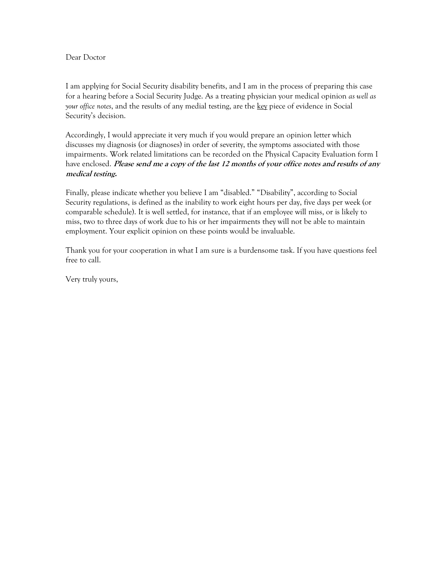## Dear Doctor

I am applying for Social Security disability benefits, and I am in the process of preparing this case for a hearing before a Social Security Judge. As a treating physician your medical opinion *as well as your office notes*, and the results of any medial testing, are the key piece of evidence in Social Security's decision.

Accordingly, I would appreciate it very much if you would prepare an opinion letter which discusses my diagnosis (or diagnoses) in order of severity, the symptoms associated with those impairments. Work related limitations can be recorded on the Physical Capacity Evaluation form I have enclosed. **Please send me a copy of the last 12 months of your office notes and results of any medical testing.**

Finally, please indicate whether you believe I am "disabled." "Disability", according to Social Security regulations, is defined as the inability to work eight hours per day, five days per week (or comparable schedule). It is well settled, for instance, that if an employee will miss, or is likely to miss, two to three days of work due to his or her impairments they will not be able to maintain employment. Your explicit opinion on these points would be invaluable.

Thank you for your cooperation in what I am sure is a burdensome task. If you have questions feel free to call.

Very truly yours,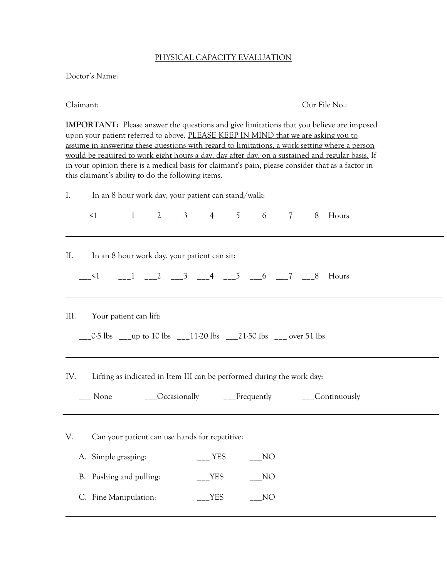## PHYSICAL CAPACITY EVALUATION

Doctor's Name:

Claimant: Our File No.:

**IMPORTANT:** Please answer the questions and give limitations that you believe are imposed upon your patient referred to above. PLEASE KEEP IN MIND that we are asking you to assume in answering these questions with regard to limitations, a work setting where a person would be required to work eight hours a day, day after day, on a sustained and regular basis. If in your opinion there is a medical basis for claimant's pain, please consider that as a factor in this claimant's ability to do the following items.

I. In an 8 hour work day, your patient can stand/walk:

 $\leq 1$  1 2 3 4 5 6 7 8 Hours

II. In an 8 hour work day, your patient can sit:

 $\frac{1}{2}$   $\frac{1}{2}$   $\frac{2}{3}$   $\frac{3}{4}$   $\frac{4}{5}$   $\frac{5}{6}$   $\frac{6}{7}$   $\frac{7}{8}$  Hours

III. Your patient can lift:

 $\frac{1}{2}$  0-5 lbs  $\frac{1}{2}$  up to 10 lbs  $\frac{1}{2}$  11-20 lbs  $\frac{1}{2}$  21-50 lbs  $\frac{1}{2}$  over 51 lbs

IV. Lifting as indicated in Item III can be performed during the work day:

| None | Occasionally<br>____ | Frequently | Continuously<br>____ |
|------|----------------------|------------|----------------------|
|------|----------------------|------------|----------------------|

V. Can your patient can use hands for repetitive:

- A. Simple grasping: \_\_\_ YES \_\_\_NO
- B. Pushing and pulling: \_\_\_\_\_YES \_\_\_\_\_NO
- C. Fine Manipulation: TES NO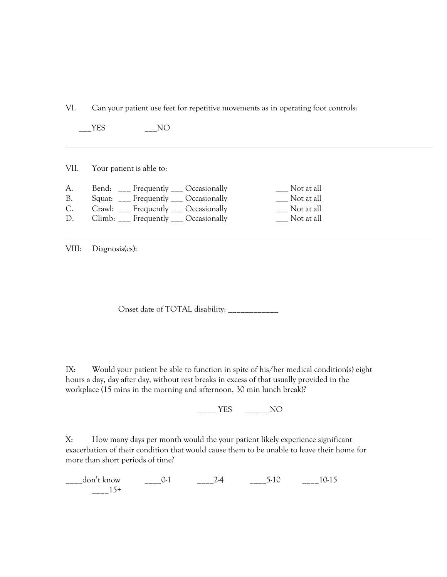VI. Can your patient use feet for repetitive movements as in operating foot controls:

YES NO

VII. Your patient is able to:

| A. | Bend: Frequently Occasionally            | Not at all |
|----|------------------------------------------|------------|
| B. | Squat: ___ Frequently ___ Occasionally   | Not at all |
| C. | Crawl: Frequently Crassionally           | Not at all |
| D. | $Climb:$ ___ Frequently ___ Occasionally | Not at all |

VIII: Diagnosis(es):

Onset date of TOTAL disability: \_\_\_\_\_\_\_\_\_\_\_\_

IX: Would your patient be able to function in spite of his/her medical condition(s) eight hours a day, day after day, without rest breaks in excess of that usually provided in the workplace (15 mins in the morning and afternoon, 30 min lunch break)?

 $\overline{\phantom{a}YES}$   $\overline{\phantom{a}XO}$ 

X: How many days per month would the your patient likely experience significant exacerbation of their condition that would cause them to be unable to leave their home for more than short periods of time?

 $\frac{\text{don't know}}{\text{tan 0.15}}$  0-1  $\frac{\text{tan 24}}{\text{tan 24}}$   $\frac{\text{tan 5}}{\text{tan 10}}$  10-15  $_{---}15+$